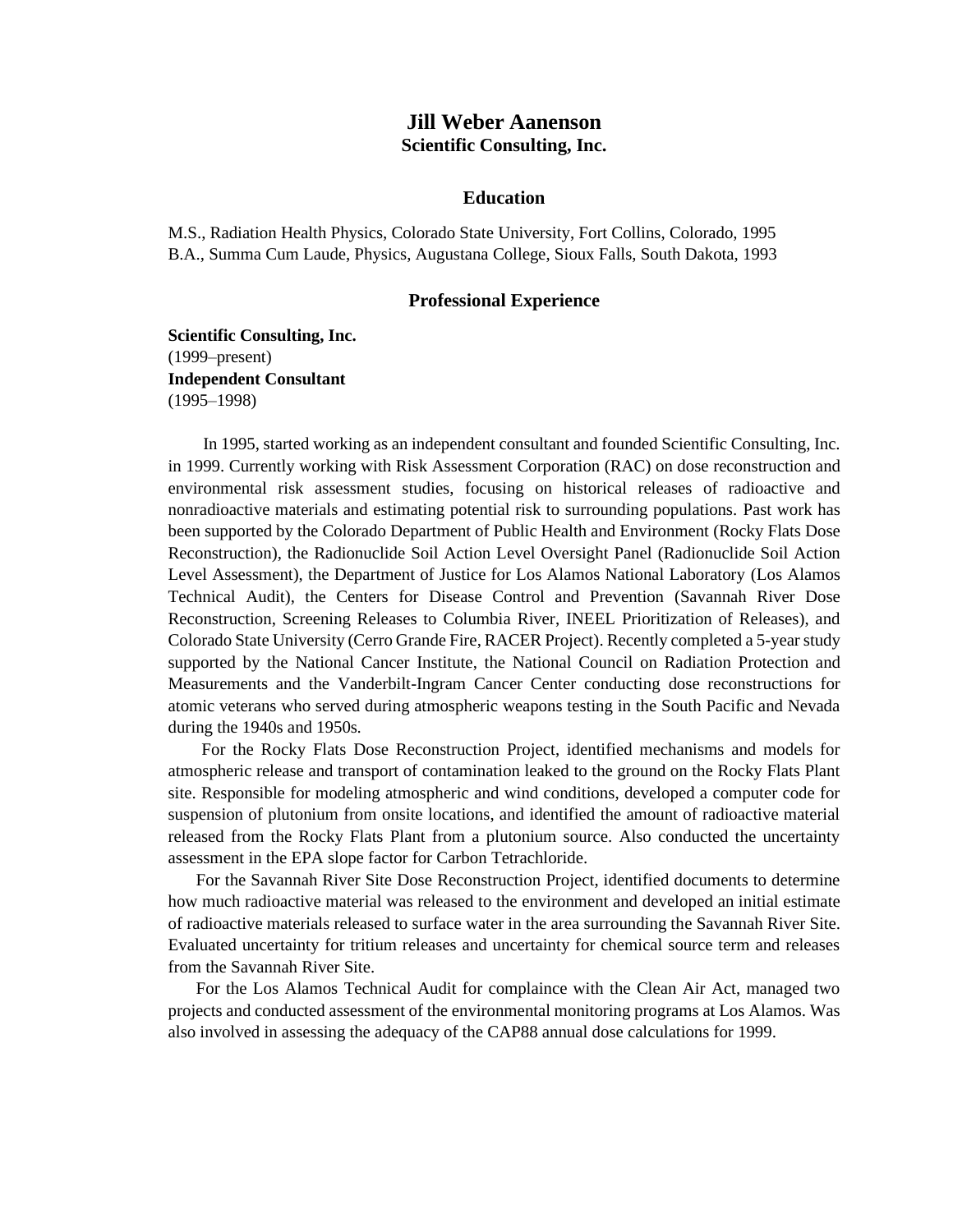# **Jill Weber Aanenson Scientific Consulting, Inc.**

#### **Education**

M.S., Radiation Health Physics, Colorado State University, Fort Collins, Colorado, 1995 B.A., Summa Cum Laude, Physics, Augustana College, Sioux Falls, South Dakota, 1993

#### **Professional Experience**

**Scientific Consulting, Inc.** (1999–present) **Independent Consultant** (1995–1998)

In 1995, started working as an independent consultant and founded Scientific Consulting, Inc. in 1999. Currently working with Risk Assessment Corporation (RAC) on dose reconstruction and environmental risk assessment studies, focusing on historical releases of radioactive and nonradioactive materials and estimating potential risk to surrounding populations. Past work has been supported by the Colorado Department of Public Health and Environment (Rocky Flats Dose Reconstruction), the Radionuclide Soil Action Level Oversight Panel (Radionuclide Soil Action Level Assessment), the Department of Justice for Los Alamos National Laboratory (Los Alamos Technical Audit), the Centers for Disease Control and Prevention (Savannah River Dose Reconstruction, Screening Releases to Columbia River, INEEL Prioritization of Releases), and Colorado State University (Cerro Grande Fire, RACER Project). Recently completed a 5-year study supported by the National Cancer Institute, the National Council on Radiation Protection and Measurements and the Vanderbilt-Ingram Cancer Center conducting dose reconstructions for atomic veterans who served during atmospheric weapons testing in the South Pacific and Nevada during the 1940s and 1950s.

For the Rocky Flats Dose Reconstruction Project, identified mechanisms and models for atmospheric release and transport of contamination leaked to the ground on the Rocky Flats Plant site. Responsible for modeling atmospheric and wind conditions, developed a computer code for suspension of plutonium from onsite locations, and identified the amount of radioactive material released from the Rocky Flats Plant from a plutonium source. Also conducted the uncertainty assessment in the EPA slope factor for Carbon Tetrachloride.

For the Savannah River Site Dose Reconstruction Project, identified documents to determine how much radioactive material was released to the environment and developed an initial estimate of radioactive materials released to surface water in the area surrounding the Savannah River Site. Evaluated uncertainty for tritium releases and uncertainty for chemical source term and releases from the Savannah River Site.

For the Los Alamos Technical Audit for complaince with the Clean Air Act, managed two projects and conducted assessment of the environmental monitoring programs at Los Alamos. Was also involved in assessing the adequacy of the CAP88 annual dose calculations for 1999.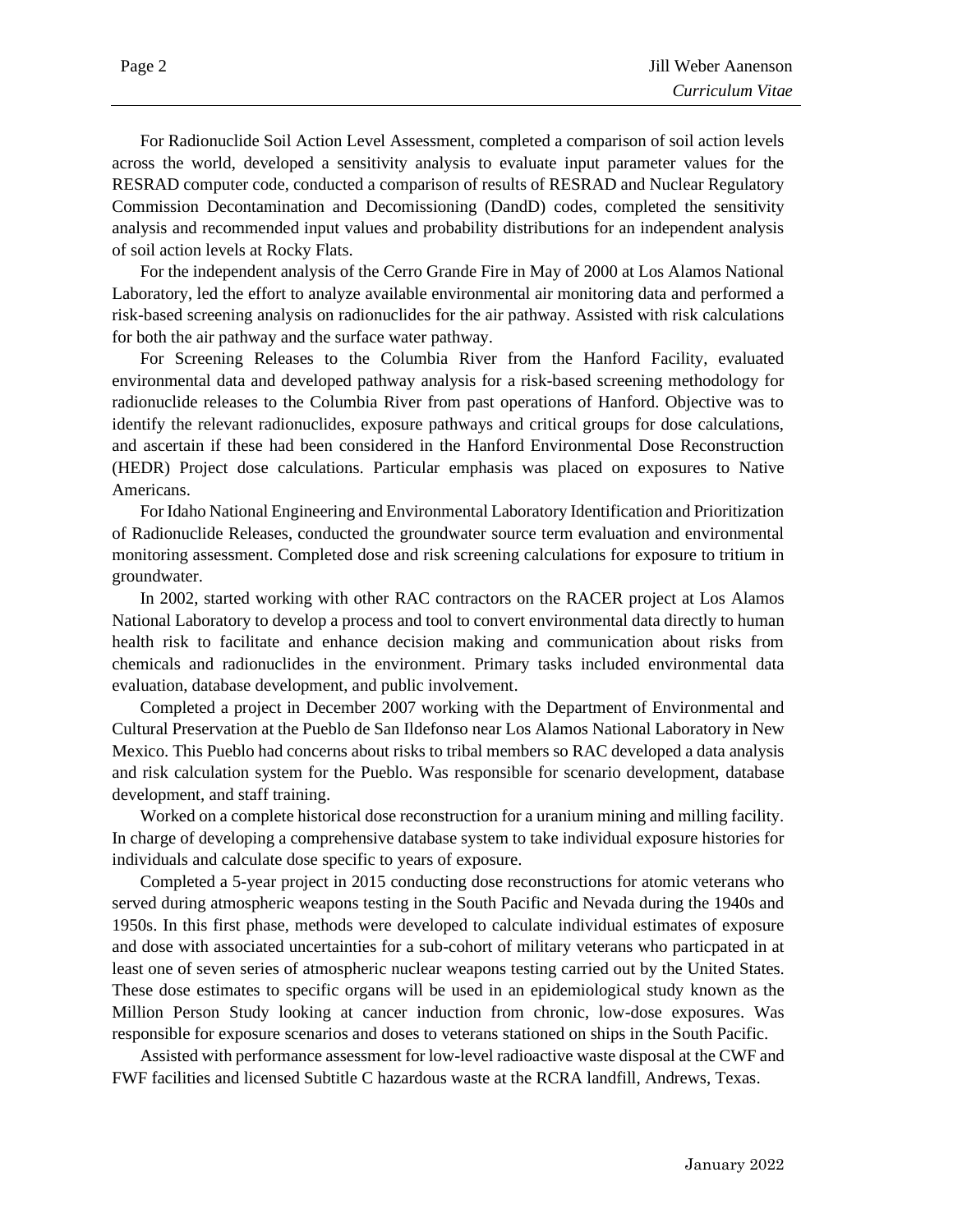For Radionuclide Soil Action Level Assessment, completed a comparison of soil action levels across the world, developed a sensitivity analysis to evaluate input parameter values for the RESRAD computer code, conducted a comparison of results of RESRAD and Nuclear Regulatory Commission Decontamination and Decomissioning (DandD) codes, completed the sensitivity analysis and recommended input values and probability distributions for an independent analysis of soil action levels at Rocky Flats.

For the independent analysis of the Cerro Grande Fire in May of 2000 at Los Alamos National Laboratory, led the effort to analyze available environmental air monitoring data and performed a risk-based screening analysis on radionuclides for the air pathway. Assisted with risk calculations for both the air pathway and the surface water pathway.

For Screening Releases to the Columbia River from the Hanford Facility, evaluated environmental data and developed pathway analysis for a risk-based screening methodology for radionuclide releases to the Columbia River from past operations of Hanford. Objective was to identify the relevant radionuclides, exposure pathways and critical groups for dose calculations, and ascertain if these had been considered in the Hanford Environmental Dose Reconstruction (HEDR) Project dose calculations. Particular emphasis was placed on exposures to Native Americans.

For Idaho National Engineering and Environmental Laboratory Identification and Prioritization of Radionuclide Releases, conducted the groundwater source term evaluation and environmental monitoring assessment. Completed dose and risk screening calculations for exposure to tritium in groundwater.

In 2002, started working with other RAC contractors on the RACER project at Los Alamos National Laboratory to develop a process and tool to convert environmental data directly to human health risk to facilitate and enhance decision making and communication about risks from chemicals and radionuclides in the environment. Primary tasks included environmental data evaluation, database development, and public involvement.

Completed a project in December 2007 working with the Department of Environmental and Cultural Preservation at the Pueblo de San Ildefonso near Los Alamos National Laboratory in New Mexico. This Pueblo had concerns about risks to tribal members so RAC developed a data analysis and risk calculation system for the Pueblo. Was responsible for scenario development, database development, and staff training.

Worked on a complete historical dose reconstruction for a uranium mining and milling facility. In charge of developing a comprehensive database system to take individual exposure histories for individuals and calculate dose specific to years of exposure.

Completed a 5-year project in 2015 conducting dose reconstructions for atomic veterans who served during atmospheric weapons testing in the South Pacific and Nevada during the 1940s and 1950s. In this first phase, methods were developed to calculate individual estimates of exposure and dose with associated uncertainties for a sub-cohort of military veterans who particpated in at least one of seven series of atmospheric nuclear weapons testing carried out by the United States. These dose estimates to specific organs will be used in an epidemiological study known as the Million Person Study looking at cancer induction from chronic, low-dose exposures. Was responsible for exposure scenarios and doses to veterans stationed on ships in the South Pacific.

Assisted with performance assessment for low-level radioactive waste disposal at the CWF and FWF facilities and licensed Subtitle C hazardous waste at the RCRA landfill, Andrews, Texas.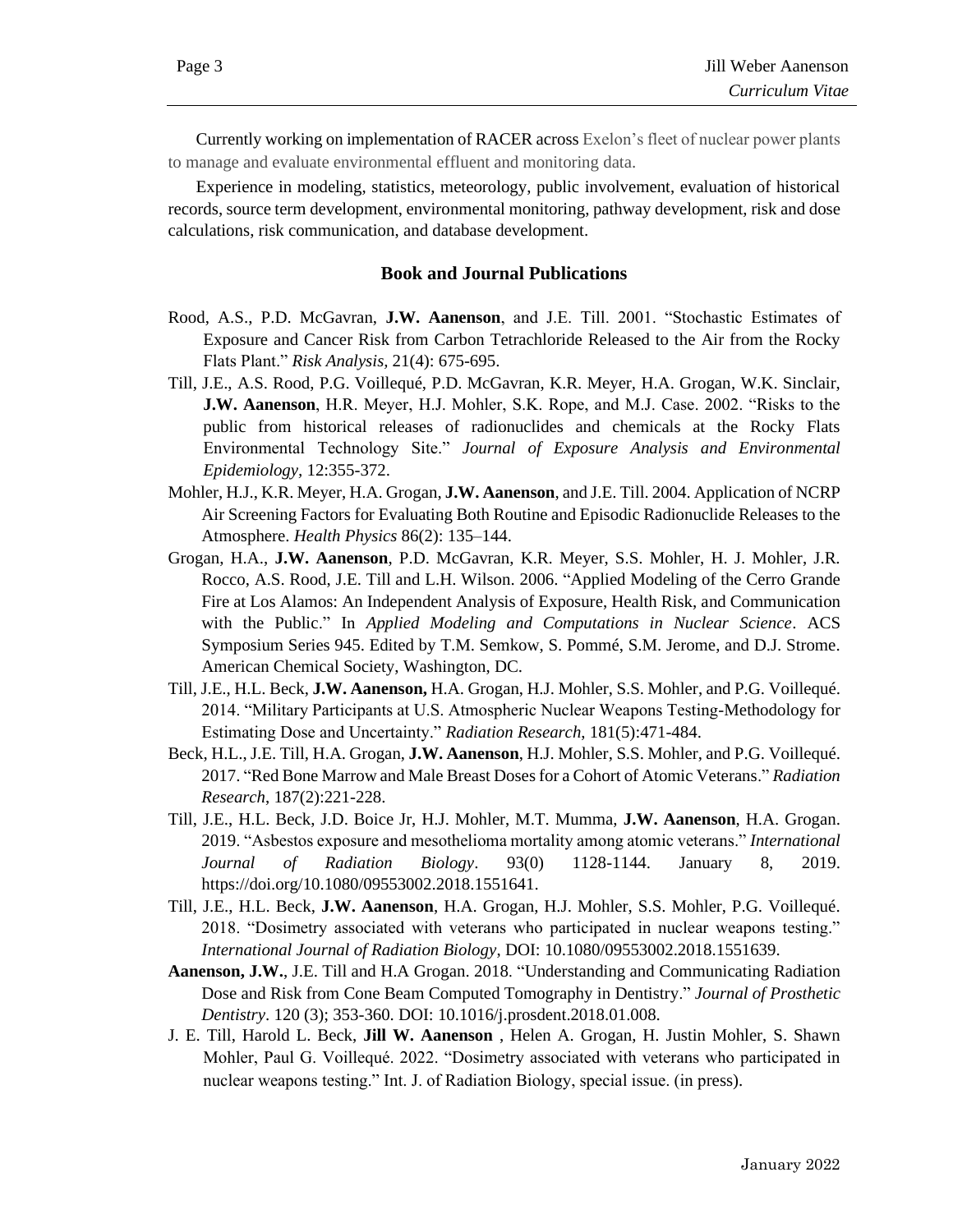Currently working on implementation of RACER across Exelon's fleet of nuclear power plants to manage and evaluate environmental effluent and monitoring data.

Experience in modeling, statistics, meteorology, public involvement, evaluation of historical records, source term development, environmental monitoring, pathway development, risk and dose calculations, risk communication, and database development.

#### **Book and Journal Publications**

- Rood, A.S., P.D. McGavran, **J.W. Aanenson**, and J.E. Till. 2001. "Stochastic Estimates of Exposure and Cancer Risk from Carbon Tetrachloride Released to the Air from the Rocky Flats Plant." *Risk Analysis,* 21(4): 675-695.
- Till, J.E., A.S. Rood, P.G. Voillequé, P.D. McGavran, K.R. Meyer, H.A. Grogan, W.K. Sinclair, **J.W. Aanenson**, H.R. Meyer, H.J. Mohler, S.K. Rope, and M.J. Case. 2002. "Risks to the public from historical releases of radionuclides and chemicals at the Rocky Flats Environmental Technology Site." *Journal of Exposure Analysis and Environmental Epidemiology,* 12:355-372.
- Mohler, H.J., K.R. Meyer, H.A. Grogan, **J.W. Aanenson**, and J.E. Till. 2004. Application of NCRP Air Screening Factors for Evaluating Both Routine and Episodic Radionuclide Releases to the Atmosphere. *Health Physics* 86(2): 135–144.
- Grogan, H.A., **J.W. Aanenson**, P.D. McGavran, K.R. Meyer, S.S. Mohler, H. J. Mohler, J.R. Rocco, A.S. Rood, J.E. Till and L.H. Wilson. 2006. "Applied Modeling of the Cerro Grande Fire at Los Alamos: An Independent Analysis of Exposure, Health Risk, and Communication with the Public." In *Applied Modeling and Computations in Nuclear Science*. ACS Symposium Series 945. Edited by T.M. Semkow, S. Pommé, S.M. Jerome, and D.J. Strome. American Chemical Society, Washington, DC.
- Till, J.E., H.L. Beck, **J.W. Aanenson,** H.A. Grogan, H.J. Mohler, S.S. Mohler, and P.G. Voillequé. 2014. "Military Participants at U.S. Atmospheric Nuclear Weapons Testing-Methodology for Estimating Dose and Uncertainty." *Radiation Research*, 181(5):471-484.
- Beck, H.L., J.E. Till, H.A. Grogan, **J.W. Aanenson**, H.J. Mohler, S.S. Mohler, and P.G. Voillequé. 2017. "Red Bone Marrow and Male Breast Doses for a Cohort of Atomic Veterans." *Radiation Research*, 187(2):221-228.
- Till, J.E., H.L. Beck, J.D. Boice Jr, H.J. Mohler, M.T. Mumma, **J.W. Aanenson**, H.A. Grogan. 2019. "Asbestos exposure and mesothelioma mortality among atomic veterans." *International Journal of Radiation Biology*. 93(0) 1128-1144. January 8, 2019. https://doi.org/10.1080/09553002.2018.1551641.
- Till, J.E., H.L. Beck, **J.W. Aanenson**, H.A. Grogan, H.J. Mohler, S.S. Mohler, P.G. Voillequé. 2018. "Dosimetry associated with veterans who participated in nuclear weapons testing." *International Journal of Radiation Biology*, DOI: 10.1080/09553002.2018.1551639.
- **Aanenson, J.W.**, J.E. Till and H.A Grogan. 2018. "Understanding and Communicating Radiation Dose and Risk from Cone Beam Computed Tomography in Dentistry." *Journal of Prosthetic Dentistry*. 120 (3); 353-360. DOI: 10.1016/j.prosdent.2018.01.008.
- J. E. Till, Harold L. Beck, **Jill W. Aanenson** , Helen A. Grogan, H. Justin Mohler, S. Shawn Mohler, Paul G. Voillequé. 2022. "Dosimetry associated with veterans who participated in nuclear weapons testing." Int. J. of Radiation Biology, special issue. (in press).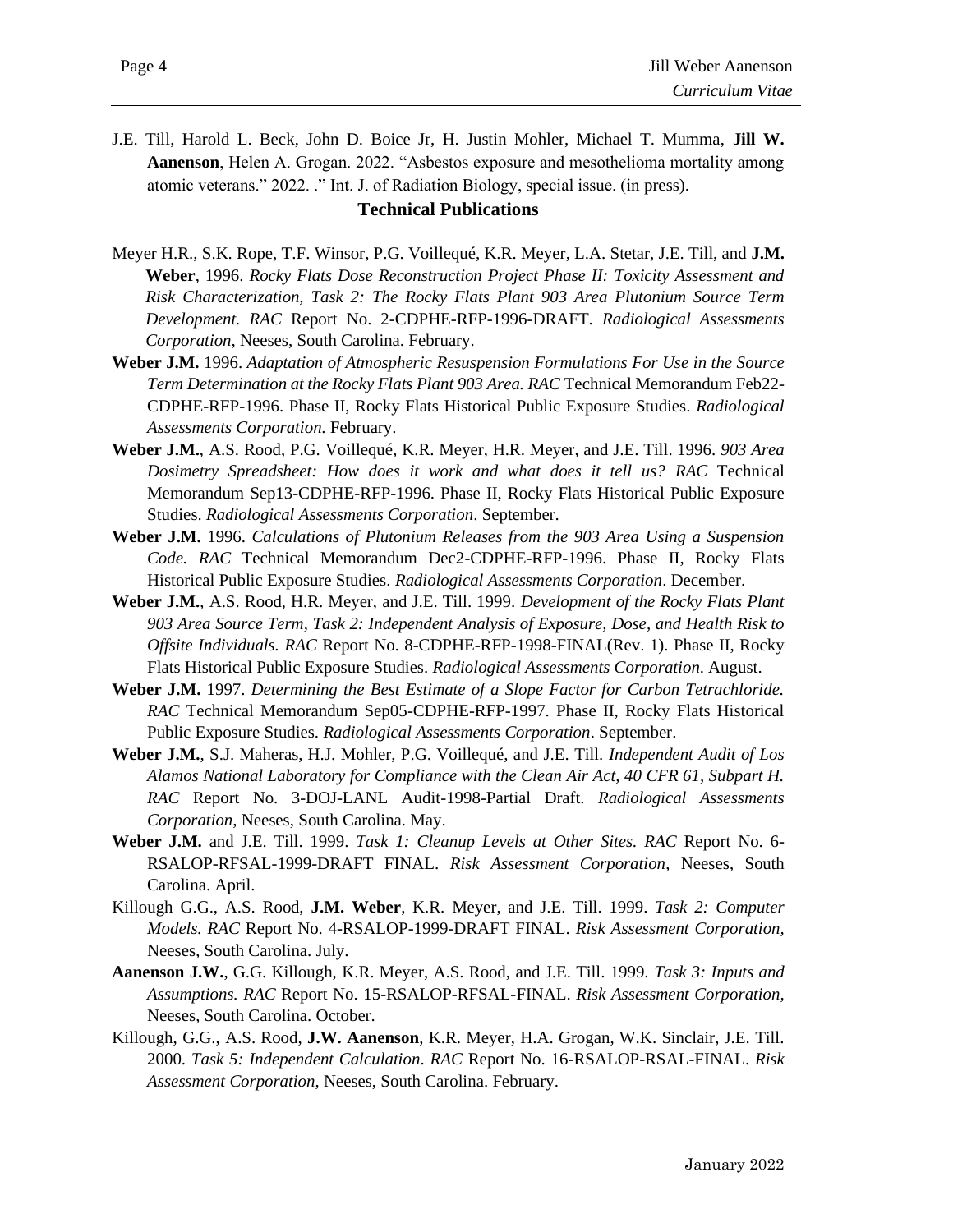J.E. Till, Harold L. Beck, John D. Boice Jr, H. Justin Mohler, Michael T. Mumma, **Jill W. Aanenson**, Helen A. Grogan. 2022. "Asbestos exposure and mesothelioma mortality among atomic veterans." 2022. ." Int. J. of Radiation Biology, special issue. (in press).

### **Technical Publications**

- Meyer H.R., S.K. Rope, T.F. Winsor, P.G. Voillequé, K.R. Meyer, L.A. Stetar, J.E. Till, and **J.M. Weber**, 1996. *Rocky Flats Dose Reconstruction Project Phase II: Toxicity Assessment and Risk Characterization, Task 2: The Rocky Flats Plant 903 Area Plutonium Source Term Development. RAC* Report No. 2-CDPHE-RFP-1996-DRAFT. *Radiological Assessments Corporation,* Neeses, South Carolina. February.
- **Weber J.M.** 1996. *Adaptation of Atmospheric Resuspension Formulations For Use in the Source Term Determination at the Rocky Flats Plant 903 Area. RAC* Technical Memorandum Feb22- CDPHE-RFP-1996. Phase II, Rocky Flats Historical Public Exposure Studies. *Radiological Assessments Corporation.* February.
- **Weber J.M.**, A.S. Rood, P.G. Voillequé, K.R. Meyer, H.R. Meyer, and J.E. Till. 1996. *903 Area Dosimetry Spreadsheet: How does it work and what does it tell us? RAC* Technical Memorandum Sep13-CDPHE-RFP-1996. Phase II, Rocky Flats Historical Public Exposure Studies. *Radiological Assessments Corporation*. September.
- **Weber J.M.** 1996. *Calculations of Plutonium Releases from the 903 Area Using a Suspension Code. RAC* Technical Memorandum Dec2-CDPHE-RFP-1996. Phase II, Rocky Flats Historical Public Exposure Studies. *Radiological Assessments Corporation*. December.
- **Weber J.M.**, A.S. Rood, H.R. Meyer, and J.E. Till. 1999. *Development of the Rocky Flats Plant 903 Area Source Term, Task 2: Independent Analysis of Exposure, Dose, and Health Risk to Offsite Individuals. RAC* Report No. 8-CDPHE-RFP-1998-FINAL(Rev. 1). Phase II, Rocky Flats Historical Public Exposure Studies. *Radiological Assessments Corporation*. August.
- **Weber J.M.** 1997. *Determining the Best Estimate of a Slope Factor for Carbon Tetrachloride. RAC* Technical Memorandum Sep05-CDPHE-RFP-1997. Phase II, Rocky Flats Historical Public Exposure Studies. *Radiological Assessments Corporation*. September.
- **Weber J.M.**, S.J. Maheras, H.J. Mohler, P.G. Voillequé, and J.E. Till. *Independent Audit of Los Alamos National Laboratory for Compliance with the Clean Air Act, 40 CFR 61, Subpart H. RAC* Report No. 3-DOJ-LANL Audit-1998-Partial Draft. *Radiological Assessments Corporation,* Neeses, South Carolina. May.
- **Weber J.M.** and J.E. Till. 1999. *Task 1: Cleanup Levels at Other Sites. RAC* Report No. 6- RSALOP-RFSAL-1999-DRAFT FINAL. *Risk Assessment Corporation*, Neeses, South Carolina. April.
- Killough G.G., A.S. Rood, **J.M. Weber**, K.R. Meyer, and J.E. Till. 1999. *Task 2: Computer Models. RAC* Report No. 4-RSALOP-1999-DRAFT FINAL. *Risk Assessment Corporation,*  Neeses, South Carolina. July.
- **Aanenson J.W.**, G.G. Killough, K.R. Meyer, A.S. Rood, and J.E. Till. 1999. *Task 3: Inputs and Assumptions. RAC* Report No. 15-RSALOP-RFSAL-FINAL. *Risk Assessment Corporation,* Neeses, South Carolina. October.
- Killough, G.G., A.S. Rood, **J.W. Aanenson**, K.R. Meyer, H.A. Grogan, W.K. Sinclair, J.E. Till. 2000. *Task 5: Independent Calculation*. *RAC* Report No. 16-RSALOP-RSAL-FINAL. *Risk Assessment Corporation*, Neeses, South Carolina. February.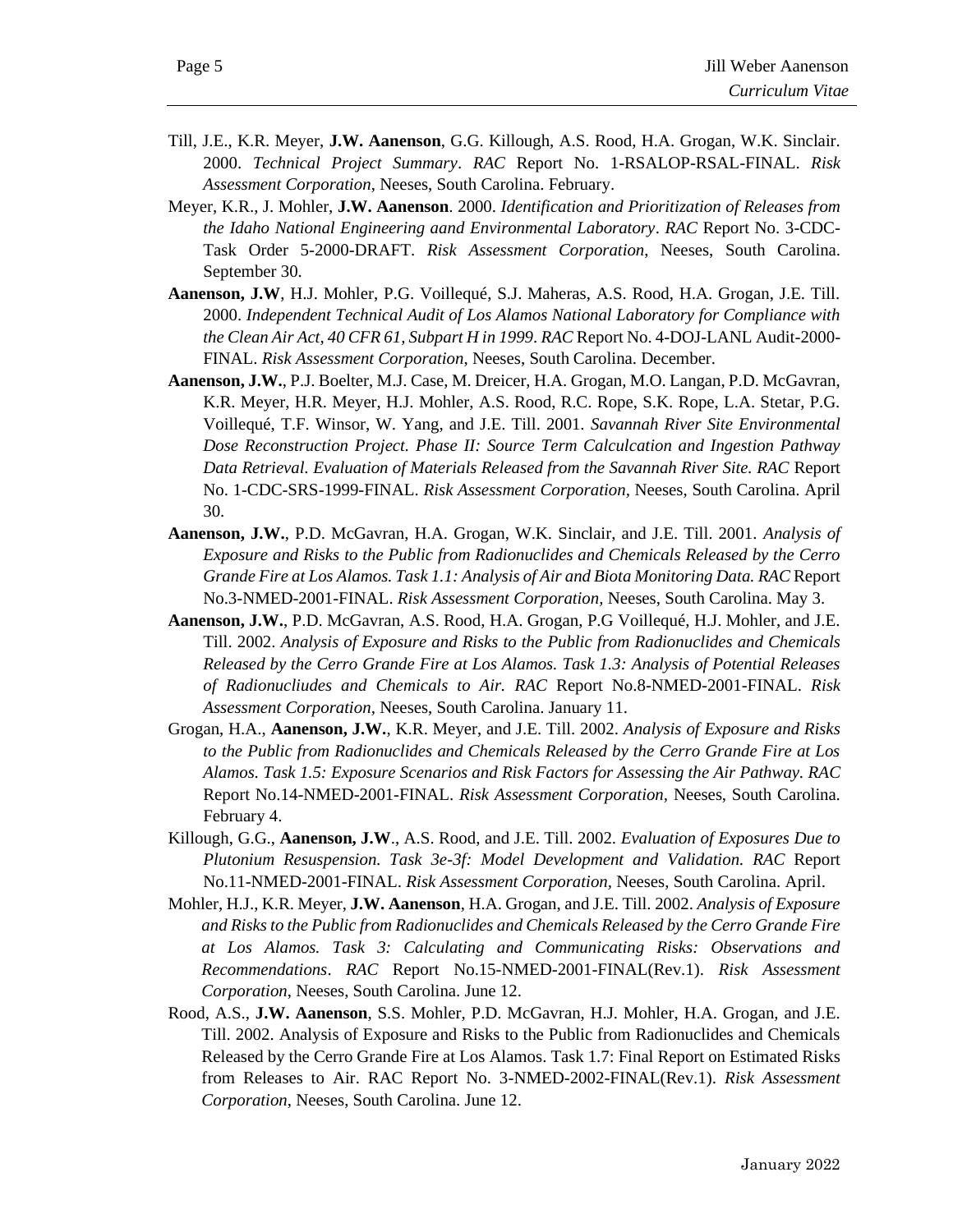- Till, J.E., K.R. Meyer, **J.W. Aanenson**, G.G. Killough, A.S. Rood, H.A. Grogan, W.K. Sinclair. 2000. *Technical Project Summary*. *RAC* Report No. 1-RSALOP-RSAL-FINAL. *Risk Assessment Corporation*, Neeses, South Carolina. February.
- Meyer, K.R., J. Mohler, **J.W. Aanenson**. 2000. *Identification and Prioritization of Releases from the Idaho National Engineering aand Environmental Laboratory*. *RAC* Report No. 3-CDC-Task Order 5-2000-DRAFT. *Risk Assessment Corporation*, Neeses, South Carolina. September 30.
- **Aanenson, J.W**, H.J. Mohler, P.G. Voillequé, S.J. Maheras, A.S. Rood, H.A. Grogan, J.E. Till. 2000. *Independent Technical Audit of Los Alamos National Laboratory for Compliance with the Clean Air Act, 40 CFR 61, Subpart H in 1999*. *RAC* Report No. 4-DOJ-LANL Audit-2000- FINAL. *Risk Assessment Corporation*, Neeses, South Carolina. December.
- **Aanenson, J.W.**, P.J. Boelter, M.J. Case, M. Dreicer, H.A. Grogan, M.O. Langan, P.D. McGavran, K.R. Meyer, H.R. Meyer, H.J. Mohler, A.S. Rood, R.C. Rope, S.K. Rope, L.A. Stetar, P.G. Voillequé, T.F. Winsor, W. Yang, and J.E. Till. 2001. *Savannah River Site Environmental Dose Reconstruction Project. Phase II: Source Term Calculcation and Ingestion Pathway Data Retrieval. Evaluation of Materials Released from the Savannah River Site. RAC* Report No. 1-CDC-SRS-1999-FINAL. *Risk Assessment Corporation,* Neeses, South Carolina. April 30.
- **Aanenson, J.W.**, P.D. McGavran, H.A. Grogan, W.K. Sinclair, and J.E. Till. 2001. *Analysis of Exposure and Risks to the Public from Radionuclides and Chemicals Released by the Cerro Grande Fire at Los Alamos. Task 1.1: Analysis of Air and Biota Monitoring Data. RAC* Report No.3-NMED-2001-FINAL. *Risk Assessment Corporation,* Neeses, South Carolina. May 3.
- **Aanenson, J.W.**, P.D. McGavran, A.S. Rood, H.A. Grogan, P.G Voillequé, H.J. Mohler, and J.E. Till. 2002. *Analysis of Exposure and Risks to the Public from Radionuclides and Chemicals Released by the Cerro Grande Fire at Los Alamos. Task 1.3: Analysis of Potential Releases of Radionucliudes and Chemicals to Air. RAC* Report No.8-NMED-2001-FINAL. *Risk Assessment Corporation,* Neeses, South Carolina. January 11.
- Grogan, H.A., **Aanenson, J.W.**, K.R. Meyer, and J.E. Till. 2002. *Analysis of Exposure and Risks to the Public from Radionuclides and Chemicals Released by the Cerro Grande Fire at Los Alamos. Task 1.5: Exposure Scenarios and Risk Factors for Assessing the Air Pathway. RAC* Report No.14-NMED-2001-FINAL. *Risk Assessment Corporation,* Neeses, South Carolina. February 4.
- Killough, G.G., **Aanenson, J.W**., A.S. Rood, and J.E. Till. 2002. *Evaluation of Exposures Due to Plutonium Resuspension. Task 3e-3f: Model Development and Validation. RAC* Report No.11-NMED-2001-FINAL. *Risk Assessment Corporation,* Neeses, South Carolina. April.
- Mohler, H.J., K.R. Meyer, **J.W. Aanenson**, H.A. Grogan, and J.E. Till. 2002. *Analysis of Exposure and Risks to the Public from Radionuclides and Chemicals Released by the Cerro Grande Fire at Los Alamos. Task 3: Calculating and Communicating Risks: Observations and Recommendations*. *RAC* Report No.15-NMED-2001-FINAL(Rev.1). *Risk Assessment Corporation*, Neeses, South Carolina. June 12.
- Rood, A.S., **J.W. Aanenson**, S.S. Mohler, P.D. McGavran, H.J. Mohler, H.A. Grogan, and J.E. Till. 2002. Analysis of Exposure and Risks to the Public from Radionuclides and Chemicals Released by the Cerro Grande Fire at Los Alamos. Task 1.7: Final Report on Estimated Risks from Releases to Air. RAC Report No. 3-NMED-2002-FINAL(Rev.1). *Risk Assessment Corporation*, Neeses, South Carolina. June 12.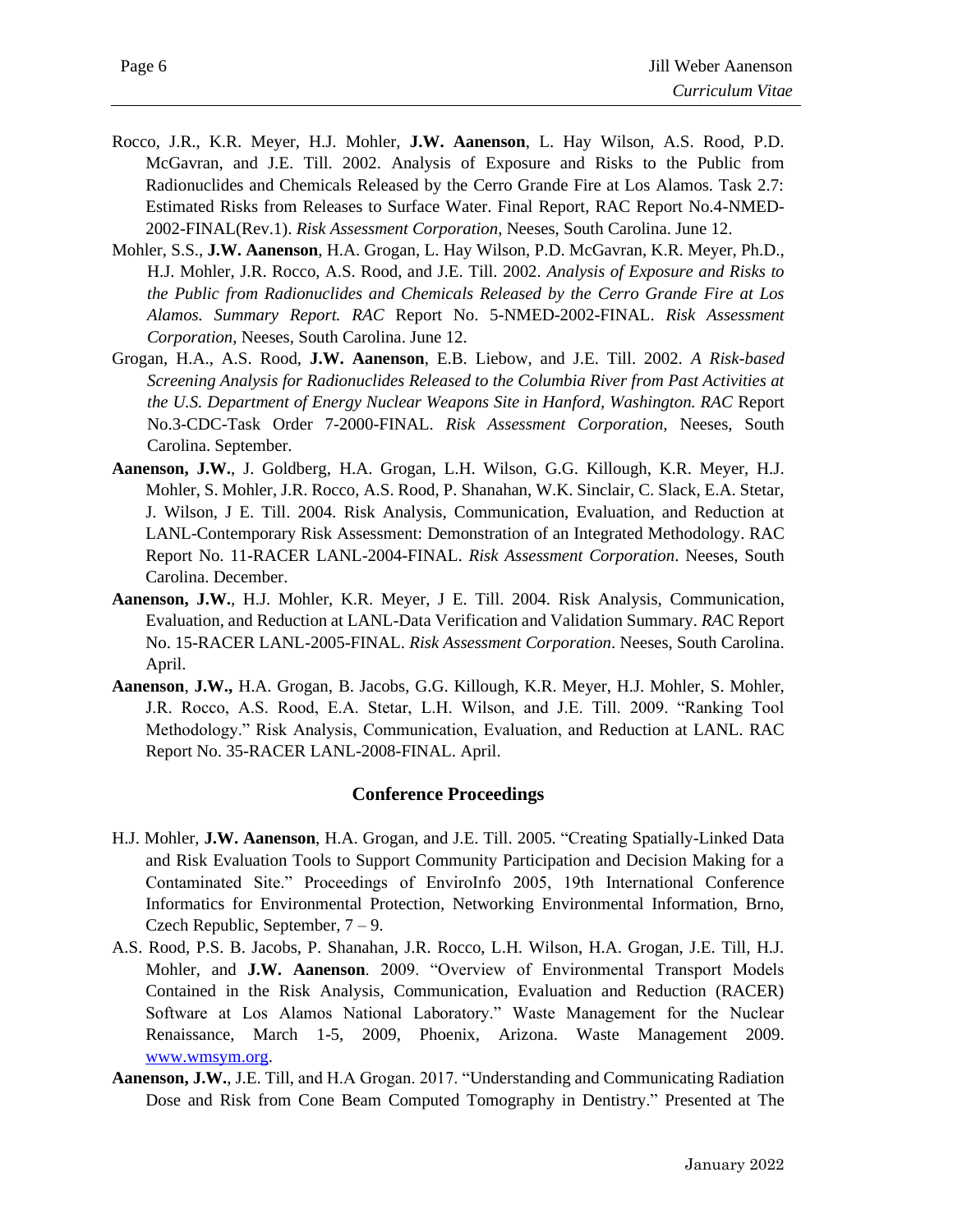- Rocco, J.R., K.R. Meyer, H.J. Mohler, **J.W. Aanenson**, L. Hay Wilson, A.S. Rood, P.D. McGavran, and J.E. Till. 2002. Analysis of Exposure and Risks to the Public from Radionuclides and Chemicals Released by the Cerro Grande Fire at Los Alamos. Task 2.7: Estimated Risks from Releases to Surface Water. Final Report, RAC Report No.4-NMED-2002-FINAL(Rev.1). *Risk Assessment Corporation*, Neeses, South Carolina. June 12.
- Mohler, S.S., **J.W. Aanenson**, H.A. Grogan, L. Hay Wilson, P.D. McGavran, K.R. Meyer, Ph.D., H.J. Mohler, J.R. Rocco, A.S. Rood, and J.E. Till. 2002. *Analysis of Exposure and Risks to the Public from Radionuclides and Chemicals Released by the Cerro Grande Fire at Los Alamos. Summary Report. RAC* Report No. 5-NMED-2002-FINAL. *Risk Assessment Corporation*, Neeses, South Carolina. June 12.
- Grogan, H.A., A.S. Rood, **J.W. Aanenson**, E.B. Liebow, and J.E. Till. 2002. *A Risk-based Screening Analysis for Radionuclides Released to the Columbia River from Past Activities at the U.S. Department of Energy Nuclear Weapons Site in Hanford, Washington. RAC* Report No.3-CDC-Task Order 7-2000-FINAL. *Risk Assessment Corporation,* Neeses, South Carolina. September.
- **Aanenson, J.W.**, J. Goldberg, H.A. Grogan, L.H. Wilson, G.G. Killough, K.R. Meyer, H.J. Mohler, S. Mohler, J.R. Rocco, A.S. Rood, P. Shanahan, W.K. Sinclair, C. Slack, E.A. Stetar, J. Wilson, J E. Till. 2004. Risk Analysis, Communication, Evaluation, and Reduction at LANL-Contemporary Risk Assessment: Demonstration of an Integrated Methodology. RAC Report No. 11-RACER LANL-2004-FINAL. *Risk Assessment Corporation*. Neeses, South Carolina. December.
- **Aanenson, J.W.**, H.J. Mohler, K.R. Meyer, J E. Till. 2004. Risk Analysis, Communication, Evaluation, and Reduction at LANL-Data Verification and Validation Summary. *RA*C Report No. 15-RACER LANL-2005-FINAL. *Risk Assessment Corporation*. Neeses, South Carolina. April.
- **Aanenson**, **J.W.,** H.A. Grogan, B. Jacobs, G.G. Killough, K.R. Meyer, H.J. Mohler, S. Mohler, J.R. Rocco, A.S. Rood, E.A. Stetar, L.H. Wilson, and J.E. Till. 2009. "Ranking Tool Methodology." Risk Analysis, Communication, Evaluation, and Reduction at LANL. RAC Report No. 35-RACER LANL-2008-FINAL. April.

## **Conference Proceedings**

- H.J. Mohler, **J.W. Aanenson**, H.A. Grogan, and J.E. Till. 2005. "Creating Spatially-Linked Data and Risk Evaluation Tools to Support Community Participation and Decision Making for a Contaminated Site." Proceedings of EnviroInfo 2005, 19th International Conference Informatics for Environmental Protection, Networking Environmental Information, Brno, Czech Republic, September, 7 – 9.
- A.S. Rood, P.S. B. Jacobs, P. Shanahan, J.R. Rocco, L.H. Wilson, H.A. Grogan, J.E. Till, H.J. Mohler, and **J.W. Aanenson**. 2009. "Overview of Environmental Transport Models Contained in the Risk Analysis, Communication, Evaluation and Reduction (RACER) Software at Los Alamos National Laboratory." Waste Management for the Nuclear Renaissance, March 1-5, 2009, Phoenix, Arizona. Waste Management 2009. [www.wmsym.org.](http://www.wmsym.org/)
- **Aanenson, J.W.**, J.E. Till, and H.A Grogan. 2017. "Understanding and Communicating Radiation Dose and Risk from Cone Beam Computed Tomography in Dentistry." Presented at The